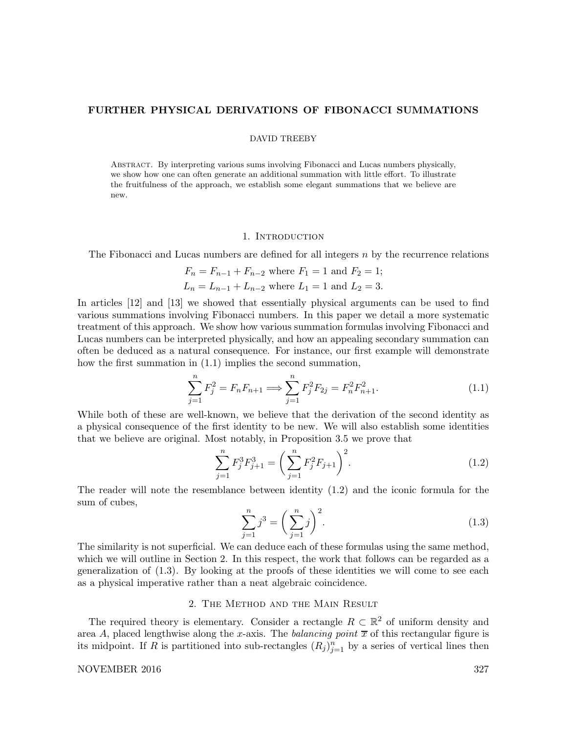## FURTHER PHYSICAL DERIVATIONS OF FIBONACCI SUMMATIONS

#### DAVID TREEBY

Abstract. By interpreting various sums involving Fibonacci and Lucas numbers physically, we show how one can often generate an additional summation with little effort. To illustrate the fruitfulness of the approach, we establish some elegant summations that we believe are new.

#### 1. Introduction

The Fibonacci and Lucas numbers are defined for all integers  $n$  by the recurrence relations

$$
F_n = F_{n-1} + F_{n-2}
$$
 where  $F_1 = 1$  and  $F_2 = 1$ ;  
\n $L_n = L_{n-1} + L_{n-2}$  where  $L_1 = 1$  and  $L_2 = 3$ .

In articles [12] and [13] we showed that essentially physical arguments can be used to find various summations involving Fibonacci numbers. In this paper we detail a more systematic treatment of this approach. We show how various summation formulas involving Fibonacci and Lucas numbers can be interpreted physically, and how an appealing secondary summation can often be deduced as a natural consequence. For instance, our first example will demonstrate how the first summation in (1.1) implies the second summation,

$$
\sum_{j=1}^{n} F_j^2 = F_n F_{n+1} \Longrightarrow \sum_{j=1}^{n} F_j^2 F_{2j} = F_n^2 F_{n+1}^2.
$$
 (1.1)

While both of these are well-known, we believe that the derivation of the second identity as a physical consequence of the first identity to be new. We will also establish some identities that we believe are original. Most notably, in Proposition 3.5 we prove that

$$
\sum_{j=1}^{n} F_j^3 F_{j+1}^3 = \left(\sum_{j=1}^{n} F_j^2 F_{j+1}\right)^2.
$$
 (1.2)

The reader will note the resemblance between identity (1.2) and the iconic formula for the sum of cubes,

$$
\sum_{j=1}^{n} j^3 = \left(\sum_{j=1}^{n} j\right)^2.
$$
\n(1.3)

The similarity is not superficial. We can deduce each of these formulas using the same method, which we will outline in Section 2. In this respect, the work that follows can be regarded as a generalization of (1.3). By looking at the proofs of these identities we will come to see each as a physical imperative rather than a neat algebraic coincidence.

## 2. The Method and the Main Result

The required theory is elementary. Consider a rectangle  $R \subset \mathbb{R}^2$  of uniform density and area A, placed lengthwise along the x-axis. The balancing point  $\bar{x}$  of this rectangular figure is its midpoint. If R is partitioned into sub-rectangles  $(R_j)_{j=1}^n$  by a series of vertical lines then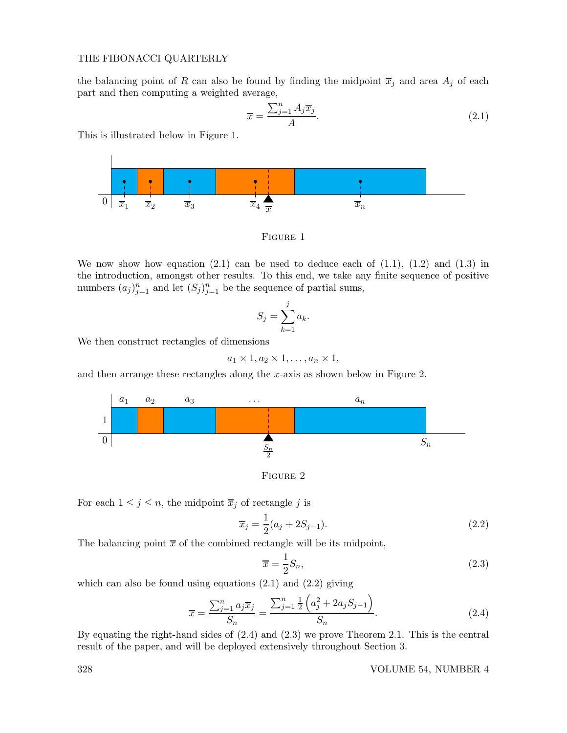the balancing point of R can also be found by finding the midpoint  $\overline{x}_j$  and area  $A_j$  of each part and then computing a weighted average,

$$
\overline{x} = \frac{\sum_{j=1}^{n} A_j \overline{x}_j}{A}.
$$
\n(2.1)

This is illustrated below in Figure 1.



Figure 1

We now show how equation  $(2.1)$  can be used to deduce each of  $(1.1)$ ,  $(1.2)$  and  $(1.3)$  in the introduction, amongst other results. To this end, we take any finite sequence of positive numbers  $(a_j)_{j=1}^n$  and let  $(S_j)_{j=1}^n$  be the sequence of partial sums,

$$
S_j = \sum_{k=1}^j a_k.
$$

We then construct rectangles of dimensions

$$
a_1 \times 1, a_2 \times 1, \ldots, a_n \times 1,
$$

and then arrange these rectangles along the  $x$ -axis as shown below in Figure 2.



Figure 2

For each  $1 \leq j \leq n$ , the midpoint  $\overline{x}_j$  of rectangle j is

$$
\overline{x}_j = \frac{1}{2}(a_j + 2S_{j-1}).
$$
\n(2.2)

The balancing point  $\bar{x}$  of the combined rectangle will be its midpoint,

$$
\overline{x} = \frac{1}{2}S_n,\tag{2.3}
$$

which can also be found using equations  $(2.1)$  and  $(2.2)$  giving

$$
\overline{x} = \frac{\sum_{j=1}^{n} a_j \overline{x}_j}{S_n} = \frac{\sum_{j=1}^{n} \frac{1}{2} \left( a_j^2 + 2a_j S_{j-1} \right)}{S_n}.
$$
\n(2.4)

By equating the right-hand sides of (2.4) and (2.3) we prove Theorem 2.1. This is the central result of the paper, and will be deployed extensively throughout Section 3.

#### 328 VOLUME 54, NUMBER 4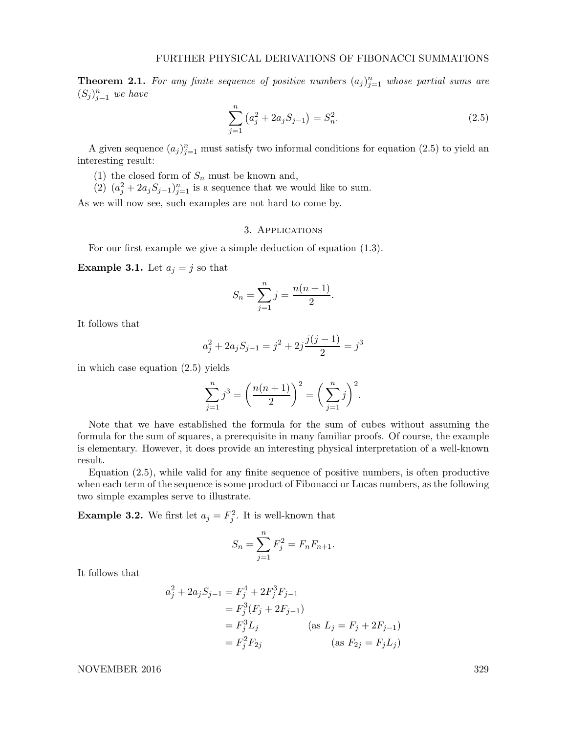**Theorem 2.1.** For any finite sequence of positive numbers  $(a_j)_{j=1}^n$  whose partial sums are  $(S_j)_{j=1}^n$  we have

$$
\sum_{j=1}^{n} (a_j^2 + 2a_j S_{j-1}) = S_n^2.
$$
\n(2.5)

A given sequence  $(a_j)_{j=1}^n$  must satisfy two informal conditions for equation (2.5) to yield an interesting result:

- (1) the closed form of  $S_n$  must be known and,
- (2)  $(a_j^2 + 2a_jS_{j-1})_{j=1}^n$  is a sequence that we would like to sum.

As we will now see, such examples are not hard to come by.

## 3. Applications

For our first example we give a simple deduction of equation (1.3).

**Example 3.1.** Let  $a_j = j$  so that

$$
S_n = \sum_{j=1}^n j = \frac{n(n+1)}{2}.
$$

It follows that

$$
a_j^2 + 2a_j S_{j-1} = j^2 + 2j \frac{j(j-1)}{2} = j^3
$$

in which case equation (2.5) yields

$$
\sum_{j=1}^{n} j^3 = \left(\frac{n(n+1)}{2}\right)^2 = \left(\sum_{j=1}^{n} j\right)^2.
$$

Note that we have established the formula for the sum of cubes without assuming the formula for the sum of squares, a prerequisite in many familiar proofs. Of course, the example is elementary. However, it does provide an interesting physical interpretation of a well-known result.

Equation (2.5), while valid for any finite sequence of positive numbers, is often productive when each term of the sequence is some product of Fibonacci or Lucas numbers, as the following two simple examples serve to illustrate.

**Example 3.2.** We first let  $a_j = F_j^2$ . It is well-known that

$$
S_n = \sum_{j=1}^n F_j^2 = F_n F_{n+1}.
$$

It follows that

$$
a_j^2 + 2a_j S_{j-1} = F_j^4 + 2F_j^3 F_{j-1}
$$
  
=  $F_j^3 (F_j + 2F_{j-1})$   
=  $F_j^3 L_j$  (as  $L_j = F_j + 2F_{j-1}$ )  
=  $F_j^2 F_{2j}$  (as  $F_{2j} = F_j L_j$ )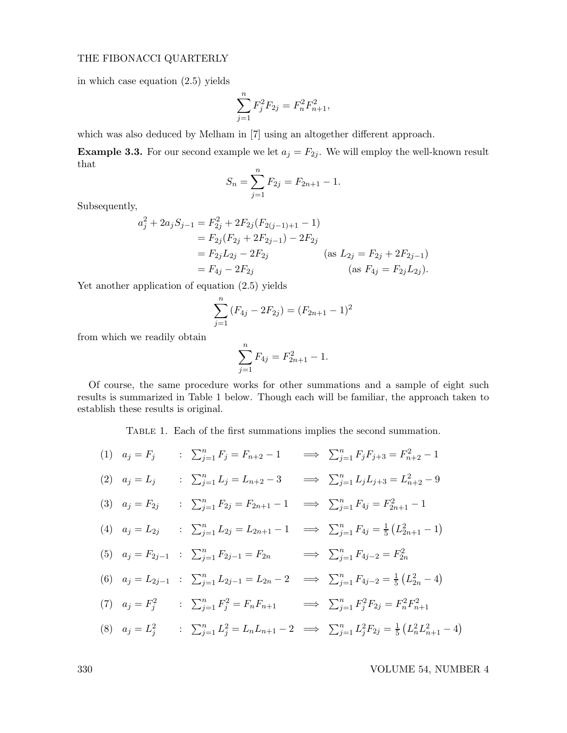in which case equation (2.5) yields

$$
\sum_{j=1}^{n} F_j^2 F_{2j} = F_n^2 F_{n+1}^2,
$$

which was also deduced by Melham in [7] using an altogether different approach.

**Example 3.3.** For our second example we let  $a_j = F_{2j}$ . We will employ the well-known result that

$$
S_n = \sum_{j=1}^n F_{2j} = F_{2n+1} - 1.
$$

Subsequently,

$$
a_j^2 + 2a_j S_{j-1} = F_{2j}^2 + 2F_{2j}(F_{2(j-1)+1} - 1)
$$
  
=  $F_{2j}(F_{2j} + 2F_{2j-1}) - 2F_{2j}$   
=  $F_{2j}L_{2j} - 2F_{2j}$  (as  $L_{2j} = F_{2j} + 2F_{2j-1}$ )  
=  $F_{4j} - 2F_{2j}$  (as  $F_{4j} = F_{2j}L_{2j}$ ).

Yet another application of equation (2.5) yields

$$
\sum_{j=1}^{n} (F_{4j} - 2F_{2j}) = (F_{2n+1} - 1)^2
$$

from which we readily obtain

$$
\sum_{j=1}^{n} F_{4j} = F_{2n+1}^2 - 1.
$$

Of course, the same procedure works for other summations and a sample of eight such results is summarized in Table 1 below. Though each will be familiar, the approach taken to establish these results is original.

Table 1. Each of the first summations implies the second summation.

$$
(1) \quad a_j = F_j \qquad : \quad \sum_{j=1}^n F_j = F_{n+2} - 1 \qquad \Longrightarrow \quad \sum_{j=1}^n F_j F_{j+3} = F_{n+2}^2 - 1
$$
\n
$$
(2) \quad a_j = L_j \qquad : \quad \sum_{j=1}^n L_j = L_{n+2} - 3 \qquad \Longrightarrow \quad \sum_{j=1}^n L_j L_{j+3} = L_{n+2}^2 - 9
$$
\n
$$
(3) \quad a_j = F_{2j} \qquad : \quad \sum_{j=1}^n F_{2j} = F_{2n+1} - 1 \qquad \Longrightarrow \quad \sum_{j=1}^n F_{4j} = F_{2n+1}^2 - 1
$$
\n
$$
(4) \quad a_j = L_{2j} \qquad : \quad \sum_{j=1}^n L_{2j} = L_{2n+1} - 1 \qquad \Longrightarrow \quad \sum_{j=1}^n F_{4j} = \frac{1}{5} (L_{2n+1}^2 - 1)
$$
\n
$$
(5) \quad a_j = F_{2j-1} \qquad : \quad \sum_{j=1}^n F_{2j-1} = F_{2n} \qquad \Longrightarrow \quad \sum_{j=1}^n F_{4j-2} = F_{2n}^2
$$
\n
$$
(6) \quad a_j = L_{2j-1} \qquad : \quad \sum_{j=1}^n L_{2j-1} = L_{2n} - 2 \qquad \Longrightarrow \quad \sum_{j=1}^n F_{4j-2} = \frac{1}{5} (L_{2n}^2 - 4)
$$
\n
$$
(7) \quad a_j = F_j^2 \qquad : \quad \sum_{j=1}^n F_j^2 = F_n F_{n+1} \qquad \Longrightarrow \quad \sum_{j=1}^n F_j^2 F_{2j} = F_n^2 F_{n+1}^2
$$
\n
$$
(8) \quad a_j = L_j^2 \qquad : \quad \sum_{j=1}^n L_j^2 = L_n L_{n+1} - 2 \qquad \Longrightarrow \quad \sum_{j=1}^n L_j^2 F_{2j} = \frac{1}{5} (L_n^2 L_{n+1}^2 - 4)
$$

330 VOLUME 54, NUMBER 4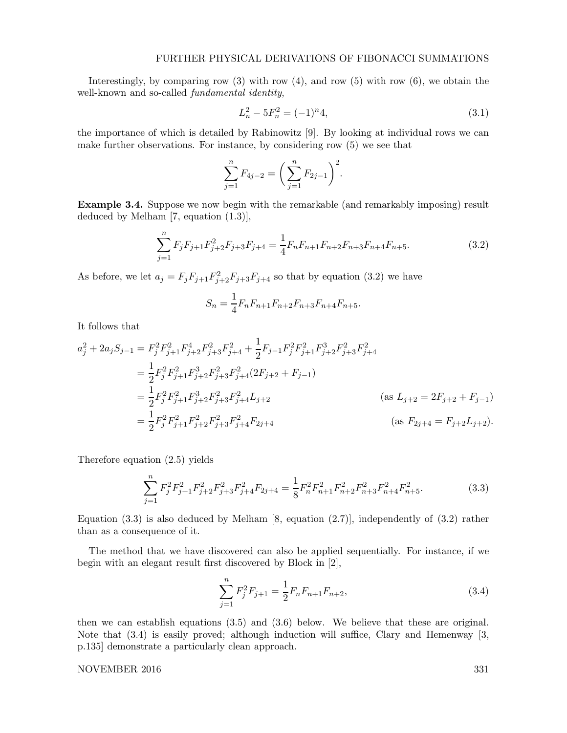## FURTHER PHYSICAL DERIVATIONS OF FIBONACCI SUMMATIONS

Interestingly, by comparing row  $(3)$  with row  $(4)$ , and row  $(5)$  with row  $(6)$ , we obtain the well-known and so-called *fundamental identity*,

$$
L_n^2 - 5F_n^2 = (-1)^n 4,\tag{3.1}
$$

the importance of which is detailed by Rabinowitz [9]. By looking at individual rows we can make further observations. For instance, by considering row (5) we see that

$$
\sum_{j=1}^{n} F_{4j-2} = \left(\sum_{j=1}^{n} F_{2j-1}\right)^2.
$$

Example 3.4. Suppose we now begin with the remarkable (and remarkably imposing) result deduced by Melham [7, equation (1.3)],

$$
\sum_{j=1}^{n} F_j F_{j+1} F_{j+2}^2 F_{j+3} F_{j+4} = \frac{1}{4} F_n F_{n+1} F_{n+2} F_{n+3} F_{n+4} F_{n+5}.
$$
 (3.2)

As before, we let  $a_j = F_j F_{j+1} F_{j+2}^2 F_{j+3} F_{j+4}$  so that by equation (3.2) we have

$$
S_n = \frac{1}{4} F_n F_{n+1} F_{n+2} F_{n+3} F_{n+4} F_{n+5}.
$$

It follows that

$$
a_j^2 + 2a_j S_{j-1} = F_j^2 F_{j+1}^2 F_{j+2}^4 F_{j+3}^2 F_{j+4}^2 + \frac{1}{2} F_{j-1} F_j^2 F_{j+1}^2 F_{j+2}^2 F_{j+3}^2 F_{j+4}^2
$$
  
\n
$$
= \frac{1}{2} F_j^2 F_{j+1}^2 F_{j+2}^3 F_{j+3}^2 F_{j+4}^2 (2F_{j+2} + F_{j-1})
$$
  
\n
$$
= \frac{1}{2} F_j^2 F_{j+1}^2 F_{j+2}^3 F_{j+3}^2 F_{j+4}^2 L_{j+2}
$$
  
\n
$$
= \frac{1}{2} F_j^2 F_{j+1}^2 F_{j+2}^2 F_{j+3}^2 F_{j+4}^2 F_{2j+4}
$$
  
\n
$$
(as \tF_{2j+4} = F_{j+2} L_{j+2}).
$$

Therefore equation (2.5) yields

$$
\sum_{j=1}^{n} F_j^2 F_{j+1}^2 F_{j+2}^2 F_{j+3}^2 F_{j+4}^2 F_{2j+4} = \frac{1}{8} F_n^2 F_{n+1}^2 F_{n+2}^2 F_{n+3}^2 F_{n+4}^2 F_{n+5}^2.
$$
 (3.3)

Equation  $(3.3)$  is also deduced by Melham [8, equation  $(2.7)$ ], independently of  $(3.2)$  rather than as a consequence of it.

The method that we have discovered can also be applied sequentially. For instance, if we begin with an elegant result first discovered by Block in [2],

$$
\sum_{j=1}^{n} F_j^2 F_{j+1} = \frac{1}{2} F_n F_{n+1} F_{n+2},\tag{3.4}
$$

then we can establish equations (3.5) and (3.6) below. We believe that these are original. Note that (3.4) is easily proved; although induction will suffice, Clary and Hemenway [3, p.135] demonstrate a particularly clean approach.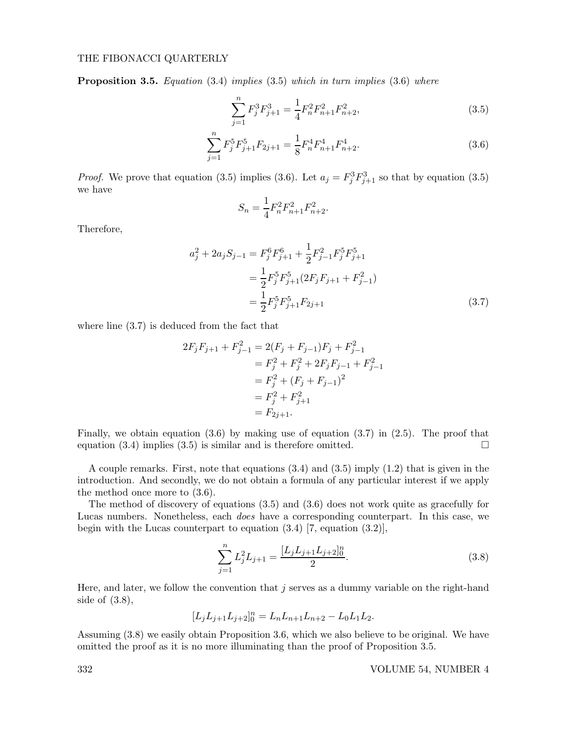**Proposition 3.5.** Equation  $(3.4)$  implies  $(3.5)$  which in turn implies  $(3.6)$  where

$$
\sum_{j=1}^{n} F_j^3 F_{j+1}^3 = \frac{1}{4} F_n^2 F_{n+1}^2 F_{n+2}^2,
$$
\n(3.5)

$$
\sum_{j=1}^{n} F_j^5 F_{j+1}^5 F_{2j+1} = \frac{1}{8} F_n^4 F_{n+1}^4 F_{n+2}^4.
$$
\n(3.6)

*Proof.* We prove that equation (3.5) implies (3.6). Let  $a_j = F_j^3 F_{j+1}^3$  so that by equation (3.5) we have

$$
S_n = \frac{1}{4} F_n^2 F_{n+1}^2 F_{n+2}^2.
$$

Therefore,

$$
a_j^2 + 2a_j S_{j-1} = F_j^6 F_{j+1}^6 + \frac{1}{2} F_{j-1}^2 F_j^5 F_{j+1}^5
$$
  
= 
$$
\frac{1}{2} F_j^5 F_{j+1}^5 (2F_j F_{j+1} + F_{j-1}^2)
$$
  
= 
$$
\frac{1}{2} F_j^5 F_{j+1}^5 F_{2j+1}
$$
 (3.7)

where line (3.7) is deduced from the fact that

$$
2F_jF_{j+1} + F_{j-1}^2 = 2(F_j + F_{j-1})F_j + F_{j-1}^2
$$
  
=  $F_j^2 + F_j^2 + 2F_jF_{j-1} + F_{j-1}^2$   
=  $F_j^2 + (F_j + F_{j-1})^2$   
=  $F_j^2 + F_{j+1}^2$   
=  $F_{2j+1}.$ 

Finally, we obtain equation  $(3.6)$  by making use of equation  $(3.7)$  in  $(2.5)$ . The proof that equation (3.4) implies (3.5) is similar and is therefore omitted.  $\square$ 

A couple remarks. First, note that equations (3.4) and (3.5) imply (1.2) that is given in the introduction. And secondly, we do not obtain a formula of any particular interest if we apply the method once more to (3.6).

The method of discovery of equations (3.5) and (3.6) does not work quite as gracefully for Lucas numbers. Nonetheless, each does have a corresponding counterpart. In this case, we begin with the Lucas counterpart to equation (3.4) [7, equation (3.2)],

$$
\sum_{j=1}^{n} L_j^2 L_{j+1} = \frac{[L_j L_{j+1} L_{j+2}]_0^n}{2}.
$$
\n(3.8)

Here, and later, we follow the convention that  $j$  serves as a dummy variable on the right-hand side of (3.8),

$$
[L_jL_{j+1}L_{j+2}]_0^n = L_nL_{n+1}L_{n+2} - L_0L_1L_2.
$$

Assuming (3.8) we easily obtain Proposition 3.6, which we also believe to be original. We have omitted the proof as it is no more illuminating than the proof of Proposition 3.5.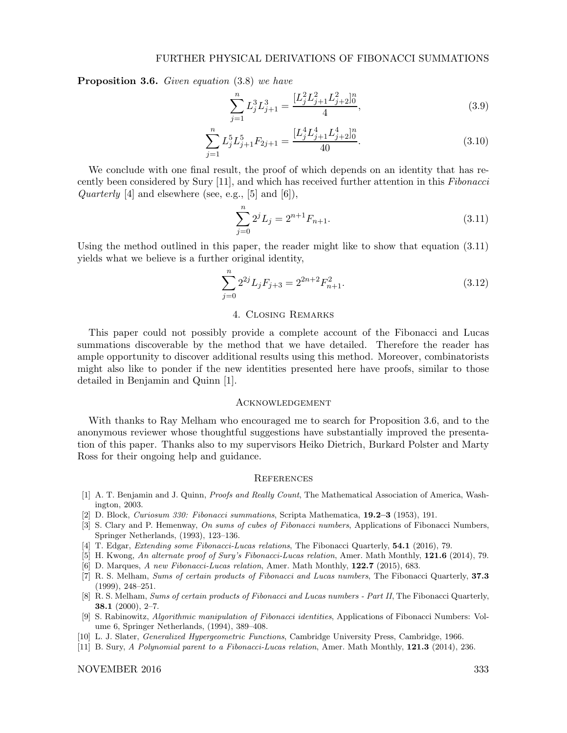Proposition 3.6. Given equation  $(3.8)$  we have

$$
\sum_{j=1}^{n} L_j^3 L_{j+1}^3 = \frac{[L_j^2 L_{j+1}^2 L_{j+2}^2]_0^n}{4},\tag{3.9}
$$

$$
\sum_{j=1}^{n} L_j^5 L_{j+1}^5 F_{2j+1} = \frac{[L_j^4 L_{j+1}^4 L_{j+2}^4]_0^n}{40}.
$$
\n(3.10)

We conclude with one final result, the proof of which depends on an identity that has recently been considered by Sury [11], and which has received further attention in this Fibonacci *Quarterly* [4] and elsewhere (see, e.g., [5] and [6]),

$$
\sum_{j=0}^{n} 2^{j} L_{j} = 2^{n+1} F_{n+1}.
$$
\n(3.11)

Using the method outlined in this paper, the reader might like to show that equation (3.11) yields what we believe is a further original identity,

$$
\sum_{j=0}^{n} 2^{2j} L_j F_{j+3} = 2^{2n+2} F_{n+1}^2.
$$
 (3.12)

#### 4. Closing Remarks

This paper could not possibly provide a complete account of the Fibonacci and Lucas summations discoverable by the method that we have detailed. Therefore the reader has ample opportunity to discover additional results using this method. Moreover, combinatorists might also like to ponder if the new identities presented here have proofs, similar to those detailed in Benjamin and Quinn [1].

#### Acknowledgement

With thanks to Ray Melham who encouraged me to search for Proposition 3.6, and to the anonymous reviewer whose thoughtful suggestions have substantially improved the presentation of this paper. Thanks also to my supervisors Heiko Dietrich, Burkard Polster and Marty Ross for their ongoing help and guidance.

#### **REFERENCES**

- [1] A. T. Benjamin and J. Quinn, Proofs and Really Count, The Mathematical Association of America, Washington, 2003.
- [2] D. Block, Curiosum 330: Fibonacci summations, Scripta Mathematica, 19.2–3 (1953), 191.
- [3] S. Clary and P. Hemenway, On sums of cubes of Fibonacci numbers, Applications of Fibonacci Numbers, Springer Netherlands, (1993), 123–136.
- [4] T. Edgar, Extending some Fibonacci-Lucas relations, The Fibonacci Quarterly, 54.1 (2016), 79.
- [5] H. Kwong, An alternate proof of Sury's Fibonacci-Lucas relation, Amer. Math Monthly, 121.6 (2014), 79.
- [6] D. Marques, A new Fibonacci-Lucas relation, Amer. Math Monthly, 122.7 (2015), 683.
- [7] R. S. Melham, Sums of certain products of Fibonacci and Lucas numbers, The Fibonacci Quarterly, 37.3 (1999), 248–251.
- [8] R. S. Melham, Sums of certain products of Fibonacci and Lucas numbers Part II, The Fibonacci Quarterly, 38.1 (2000), 2–7.
- [9] S. Rabinowitz, Algorithmic manipulation of Fibonacci identities, Applications of Fibonacci Numbers: Volume 6, Springer Netherlands, (1994), 389–408.
- [10] L. J. Slater, Generalized Hypergeometric Functions, Cambridge University Press, Cambridge, 1966.
- [11] B. Sury, A Polynomial parent to a Fibonacci-Lucas relation, Amer. Math Monthly, **121.3** (2014), 236.